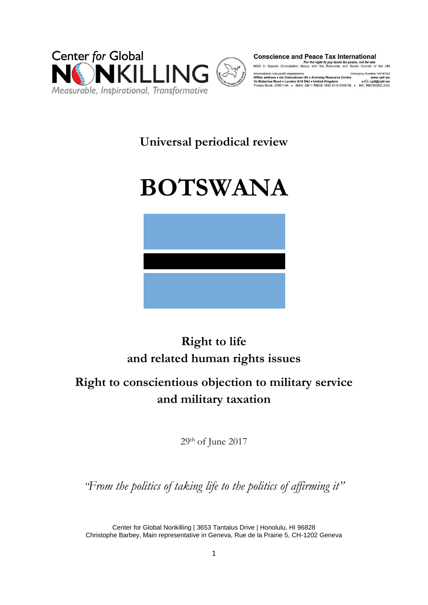

**Conscience and Peace Tax International** 

For the right to pay taxes for peace, not for war<br>NGO in Special Consultative Status with the Economic and Social Council of the UN

International non-profit organization<br> **Office address • c/o Conscience UK • Archway Resource Centre www.cptl.ws**<br>
1**D Waterlow Road • London N19 5NJ • United Kingdom e-** E2: cpti@cpti.ws<br>
Triodos Bank: 20591144 • IBAN: G

# **Universal periodical review**

# **BOTSWANA**



# **Right to life and related human rights issues**

# **Right to conscientious objection to military service and military taxation**

29<sup>th</sup> of June 2017

*"From the politics of taking life to the politics of affirming it"*

Center for Global Nonkilling | 3653 Tantalus Drive | Honolulu, HI 96828 Christophe Barbey, Main representative in Geneva, Rue de la Prairie 5, CH-1202 Geneva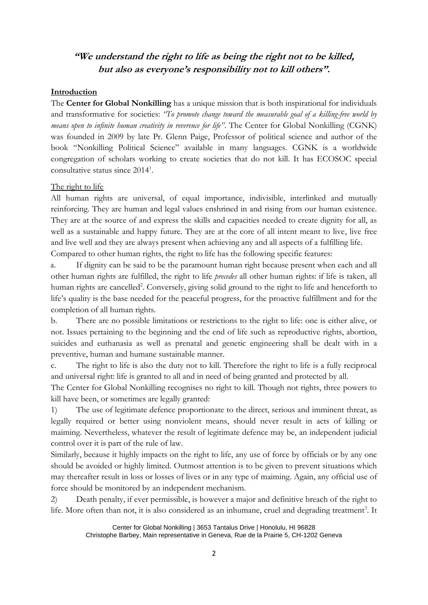# **"We understand the right to life as being the right not to be killed, but also as everyone's responsibility not to kill others".**

#### **Introduction**

The **Center for Global Nonkilling** has a unique mission that is both inspirational for individuals and transformative for societies: *"To promote change toward the measurable goal of a killing-free world by means open to infinite human creativity in reverence for life"*. The Center for Global Nonkilling (CGNK) was founded in 2009 by late Pr. Glenn Paige, Professor of political science and author of the book "Nonkilling Political Science" available in many languages. CGNK is a worldwide congregation of scholars working to create societies that do not kill. It has ECOSOC special consultative status since 2014<sup>1</sup>.

The right to life

All human rights are universal, of equal importance, indivisible, interlinked and mutually reinforcing. They are human and legal values enshrined in and rising from our human existence. They are at the source of and express the skills and capacities needed to create dignity for all, as well as a sustainable and happy future. They are at the core of all intent meant to live, live free and live well and they are always present when achieving any and all aspects of a fulfilling life.

Compared to other human rights, the right to life has the following specific features:

a. If dignity can be said to be the paramount human right because present when each and all other human rights are fulfilled, the right to life *precedes* all other human rights: if life is taken, all human rights are cancelled<sup>2</sup>. Conversely, giving solid ground to the right to life and henceforth to life's quality is the base needed for the peaceful progress, for the proactive fulfillment and for the completion of all human rights.

b. There are no possible limitations or restrictions to the right to life: one is either alive, or not. Issues pertaining to the beginning and the end of life such as reproductive rights, abortion, suicides and euthanasia as well as prenatal and genetic engineering shall be dealt with in a preventive, human and humane sustainable manner.

c. The right to life is also the duty not to kill. Therefore the right to life is a fully reciprocal and universal right: life is granted to all and in need of being granted and protected by all.

The Center for Global Nonkilling recognises no right to kill. Though not rights, three powers to kill have been, or sometimes are legally granted:

1) The use of legitimate defence proportionate to the direct, serious and imminent threat, as legally required or better using nonviolent means, should never result in acts of killing or maiming. Nevertheless, whatever the result of legitimate defence may be, an independent judicial control over it is part of the rule of law.

Similarly, because it highly impacts on the right to life, any use of force by officials or by any one should be avoided or highly limited. Outmost attention is to be given to prevent situations which may thereafter result in loss or losses of lives or in any type of maiming. Again, any official use of force should be monitored by an independent mechanism.

2) Death penalty, if ever permissible, is however a major and definitive breach of the right to life. More often than not, it is also considered as an inhumane, cruel and degrading treatment<sup>3</sup>. It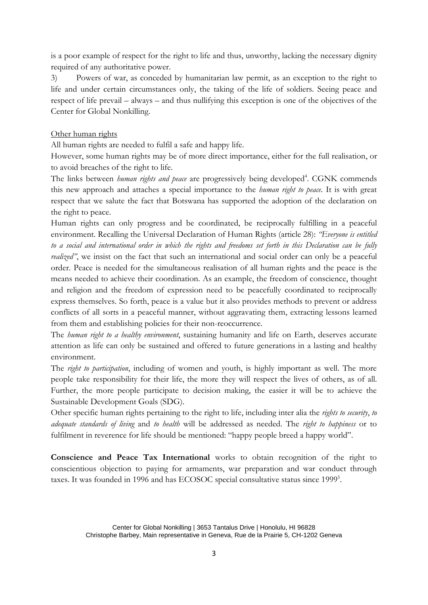is a poor example of respect for the right to life and thus, unworthy, lacking the necessary dignity required of any authoritative power.

3) Powers of war, as conceded by humanitarian law permit, as an exception to the right to life and under certain circumstances only, the taking of the life of soldiers. Seeing peace and respect of life prevail – always – and thus nullifying this exception is one of the objectives of the Center for Global Nonkilling.

#### Other human rights

All human rights are needed to fulfil a safe and happy life.

However, some human rights may be of more direct importance, either for the full realisation, or to avoid breaches of the right to life.

The links between *human rights and peace* are progressively being developed<sup>4</sup>. CGNK commends this new approach and attaches a special importance to the *human right to peace*. It is with great respect that we salute the fact that Botswana has supported the adoption of the declaration on the right to peace.

Human rights can only progress and be coordinated, be reciprocally fulfilling in a peaceful environment. Recalling the Universal Declaration of Human Rights (article 28): *"Everyone is entitled to a social and international order in which the rights and freedoms set forth in this Declaration can be fully realized"*, we insist on the fact that such an international and social order can only be a peaceful order. Peace is needed for the simultaneous realisation of all human rights and the peace is the means needed to achieve their coordination. As an example, the freedom of conscience, thought and religion and the freedom of expression need to be peacefully coordinated to reciprocally express themselves. So forth, peace is a value but it also provides methods to prevent or address conflicts of all sorts in a peaceful manner, without aggravating them, extracting lessons learned from them and establishing policies for their non-reoccurrence.

The *human right to a healthy environment*, sustaining humanity and life on Earth, deserves accurate attention as life can only be sustained and offered to future generations in a lasting and healthy environment.

The *right to participation*, including of women and youth, is highly important as well. The more people take responsibility for their life, the more they will respect the lives of others, as of all. Further, the more people participate to decision making, the easier it will be to achieve the Sustainable Development Goals (SDG).

Other specific human rights pertaining to the right to life, including inter alia the *rights to security*, *to adequate standards of living* and *to health* will be addressed as needed. The *right to happiness* or to fulfilment in reverence for life should be mentioned: "happy people breed a happy world".

**Conscience and Peace Tax International** works to obtain recognition of the right to conscientious objection to paying for armaments, war preparation and war conduct through taxes. It was founded in 1996 and has ECOSOC special consultative status since 1999<sup>5</sup>.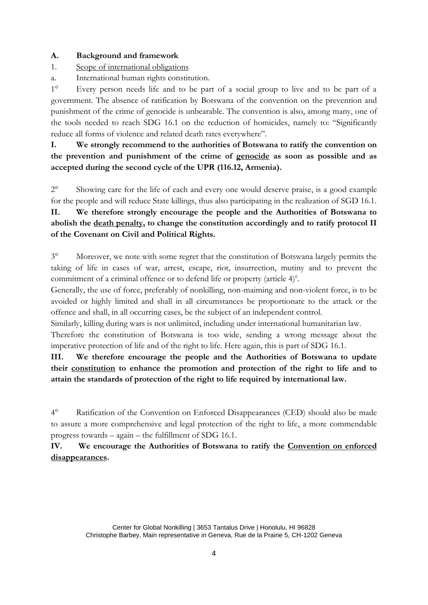#### **A. Background and framework**

- 1. Scope of international obligations
- a. International human rights constitution.

1° Every person needs life and to be part of a social group to live and to be part of a government. The absence of ratification by Botswana of the convention on the prevention and punishment of the crime of genocide is unbearable. The convention is also, among many, one of the tools needed to reach SDG 16.1 on the reduction of homicides, namely to: "Significantly reduce all forms of violence and related death rates everywhere".

**I. We strongly recommend to the authorities of Botswana to ratify the convention on the prevention and punishment of the crime of genocide as soon as possible and as accepted during the second cycle of the UPR (116.12, Armenia).** 

2° Showing care for the life of each and every one would deserve praise, is a good example for the people and will reduce State killings, thus also participating in the realization of SGD 16.1. **II. We therefore strongly encourage the people and the Authorities of Botswana to abolish the death penalty, to change the constitution accordingly and to ratify protocol II of the Covenant on Civil and Political Rights.**

3° Moreover, we note with some regret that the constitution of Botswana largely permits the taking of life in cases of war, arrest, escape, riot, insurrection, mutiny and to prevent the commitment of a criminal offence or to defend life or property (article  $4)^6$ .

Generally, the use of force, preferably of nonkilling, non-maiming and non-violent force, is to be avoided or highly limited and shall in all circumstances be proportionate to the attack or the offence and shall, in all occurring cases, be the subject of an independent control.

Similarly, killing during wars is not unlimited, including under international humanitarian law.

Therefore the constitution of Botswana is too wide, sending a wrong message about the imperative protection of life and of the right to life. Here again, this is part of SDG 16.1.

**III. We therefore encourage the people and the Authorities of Botswana to update their constitution to enhance the promotion and protection of the right to life and to attain the standards of protection of the right to life required by international law.**

4° Ratification of the Convention on Enforced Disappearances (CED) should also be made to assure a more comprehensive and legal protection of the right to life, a more commendable progress towards – again – the fulfillment of SDG 16.1.

**IV. We encourage the Authorities of Botswana to ratify the Convention on enforced disappearances.**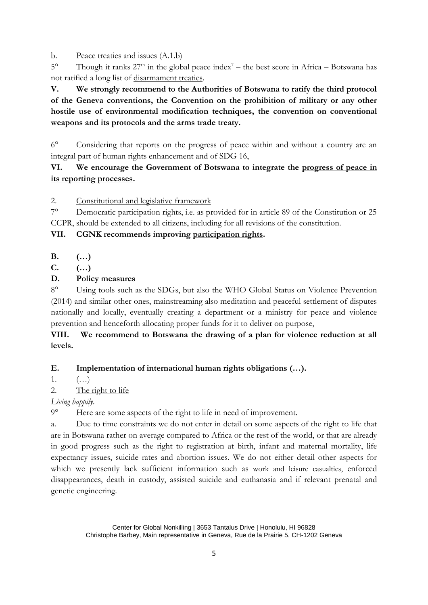b. Peace treaties and issues (A.1.b)

5° Though it ranks  $27<sup>th</sup>$  in the global peace index<sup>7</sup> – the best score in Africa – Botswana has not ratified a long list of disarmament treaties.

**V. We strongly recommend to the Authorities of Botswana to ratify the third protocol of the Geneva conventions, the Convention on the prohibition of military or any other hostile use of environmental modification techniques, the convention on conventional weapons and its protocols and the arms trade treaty.**

6° Considering that reports on the progress of peace within and without a country are an integral part of human rights enhancement and of SDG 16,

## **VI. We encourage the Government of Botswana to integrate the progress of peace in its reporting processes.**

2. Constitutional and legislative framework

7° Democratic participation rights, i.e. as provided for in article 89 of the Constitution or 25 CCPR, should be extended to all citizens, including for all revisions of the constitution.

#### **VII. CGNK recommends improving participation rights.**

**B. (…)**

**C. (…)**

## **D. Policy measures**

8° Using tools such as the SDGs, but also the WHO Global Status on Violence Prevention (2014) and similar other ones, mainstreaming also meditation and peaceful settlement of disputes nationally and locally, eventually creating a department or a ministry for peace and violence prevention and henceforth allocating proper funds for it to deliver on purpose,

## **VIII. We recommend to Botswana the drawing of a plan for violence reduction at all levels.**

## **E. Implementation of international human rights obligations (…).**

1.  $(...)$ 

#### 2. The right to life

*Living happily*.

9° Here are some aspects of the right to life in need of improvement.

a. Due to time constraints we do not enter in detail on some aspects of the right to life that are in Botswana rather on average compared to Africa or the rest of the world, or that are already in good progress such as the right to registration at birth, infant and maternal mortality, life expectancy issues, suicide rates and abortion issues. We do not either detail other aspects for which we presently lack sufficient information such as work and leisure casualties, enforced disappearances, death in custody, assisted suicide and euthanasia and if relevant prenatal and genetic engineering.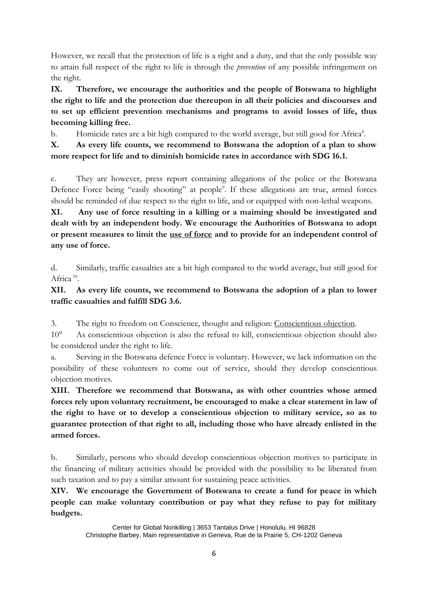However, we recall that the protection of life is a right and a duty, and that the only possible way to attain full respect of the right to life is through the *prevention* of any possible infringement on the right.

**IX. Therefore, we encourage the authorities and the people of Botswana to highlight the right to life and the protection due thereupon in all their policies and discourses and to set up efficient prevention mechanisms and programs to avoid losses of life, thus becoming killing free.**

b. Homicide rates are a bit high compared to the world average, but still good for Africa<sup>8</sup>.

**X. As every life counts, we recommend to Botswana the adoption of a plan to show more respect for life and to diminish homicide rates in accordance with SDG 16.1.**

c. They are however, press report containing allegations of the police or the Botswana Defence Force being "easily shooting" at people<sup>9</sup>. If these allegations are true, armed forces should be reminded of due respect to the right to life, and or equipped with non-lethal weapons.

**XI. Any use of force resulting in a killing or a maiming should be investigated and dealt with by an independent body. We encourage the Authorities of Botswana to adopt or present measures to limit the use of force and to provide for an independent control of any use of force.**

d. Similarly, traffic casualties are a bit high compared to the world average, but still good for Africa<sup>10</sup>.

## **XII. As every life counts, we recommend to Botswana the adoption of a plan to lower traffic casualties and fulfill SDG 3.6.**

3. The right to freedom on Conscience, thought and religion: Conscientious objection.

10° As conscientious objection is also the refusal to kill, conscientious objection should also be considered under the right to life.

a. Serving in the Botswana defence Force is voluntary. However, we lack information on the possibility of these volunteers to come out of service, should they develop conscientious objection motives.

**XIII. Therefore we recommend that Botswana, as with other countries whose armed forces rely upon voluntary recruitment, be encouraged to make a clear statement in law of the right to have or to develop a conscientious objection to military service, so as to guarantee protection of that right to all, including those who have already enlisted in the armed forces.**

b. Similarly, persons who should develop conscientious objection motives to participate in the financing of military activities should be provided with the possibility to be liberated from such taxation and to pay a similar amount for sustaining peace activities.

**XIV. We encourage the Government of Botswana to create a fund for peace in which people can make voluntary contribution or pay what they refuse to pay for military budgets.** 

> Center for Global Nonkilling | 3653 Tantalus Drive | Honolulu, HI 96828 Christophe Barbey, Main representative in Geneva, Rue de la Prairie 5, CH-1202 Geneva